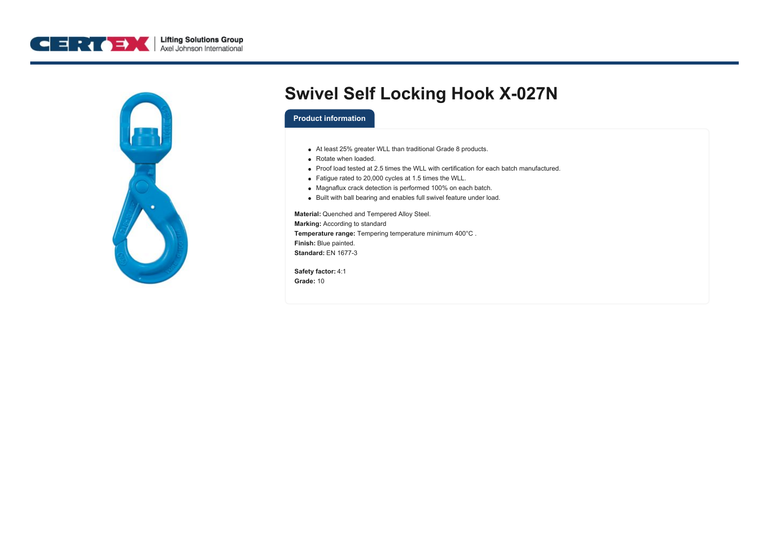



## **Swivel Self Locking Hook X-027N**

## **Product information**

- At least 25% greater WLL than traditional Grade 8 products.
- Rotate when loaded.
- Proof load tested at 2.5 times the WLL with certification for each batch manufactured.
- Fatigue rated to 20,000 cycles at 1.5 times the WLL.
- Magnaflux crack detection is performed 100% on each batch.
- Built with ball bearing and enables full swivel feature under load.

**Material:** Quenched and Tempered Alloy Steel. **Marking:** According to standard **Temperature range:** Tempering temperature minimum 400°C . **Finish:** Blue painted. **Standard:** EN 1677-3

**Safety factor:** 4:1 **Grade:** 10